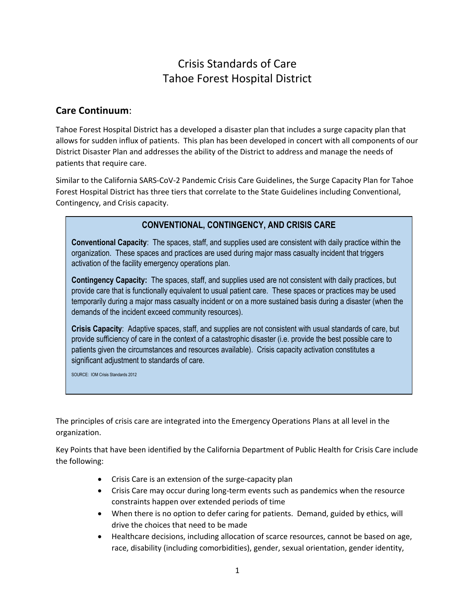# Crisis Standards of Care Tahoe Forest Hospital District

## **Care Continuum**:

Tahoe Forest Hospital District has a developed a disaster plan that includes a surge capacity plan that allows for sudden influx of patients. This plan has been developed in concert with all components of our District Disaster Plan and addresses the ability of the District to address and manage the needs of patients that require care.

Similar to the California SARS-CoV-2 Pandemic Crisis Care Guidelines, the Surge Capacity Plan for Tahoe Forest Hospital District has three tiers that correlate to the State Guidelines including Conventional, Contingency, and Crisis capacity.

# **CONVENTIONAL, CONTINGENCY, AND CRISIS CARE**

**Conventional Capacity**: The spaces, staff, and supplies used are consistent with daily practice within the organization. These spaces and practices are used during major mass casualty incident that triggers activation of the facility emergency operations plan.

**Contingency Capacity:** The spaces, staff, and supplies used are not consistent with daily practices, but provide care that is functionally equivalent to usual patient care. These spaces or practices may be used temporarily during a major mass casualty incident or on a more sustained basis during a disaster (when the demands of the incident exceed community resources).

**Crisis Capacity**: Adaptive spaces, staff, and supplies are not consistent with usual standards of care, but provide sufficiency of care in the context of a catastrophic disaster (i.e. provide the best possible care to patients given the circumstances and resources available). Crisis capacity activation constitutes a significant adjustment to standards of care.

SOURCE: IOM Crisis Standards 2012

The principles of crisis care are integrated into the Emergency Operations Plans at all level in the organization.

Key Points that have been identified by the California Department of Public Health for Crisis Care include the following:

- Crisis Care is an extension of the surge-capacity plan
- Crisis Care may occur during long-term events such as pandemics when the resource constraints happen over extended periods of time
- When there is no option to defer caring for patients. Demand, guided by ethics, will drive the choices that need to be made
- Healthcare decisions, including allocation of scarce resources, cannot be based on age, race, disability (including comorbidities), gender, sexual orientation, gender identity,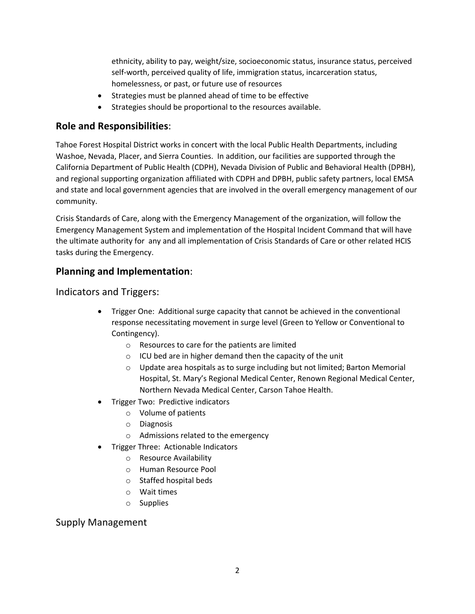ethnicity, ability to pay, weight/size, socioeconomic status, insurance status, perceived self-worth, perceived quality of life, immigration status, incarceration status, homelessness, or past, or future use of resources

- Strategies must be planned ahead of time to be effective
- Strategies should be proportional to the resources available.

# **Role and Responsibilities**:

Tahoe Forest Hospital District works in concert with the local Public Health Departments, including Washoe, Nevada, Placer, and Sierra Counties. In addition, our facilities are supported through the California Department of Public Health (CDPH), Nevada Division of Public and Behavioral Health (DPBH), and regional supporting organization affiliated with CDPH and DPBH, public safety partners, local EMSA and state and local government agencies that are involved in the overall emergency management of our community.

Crisis Standards of Care, along with the Emergency Management of the organization, will follow the Emergency Management System and implementation of the Hospital Incident Command that will have the ultimate authority for any and all implementation of Crisis Standards of Care or other related HCIS tasks during the Emergency.

# **Planning and Implementation**:

Indicators and Triggers:

- Trigger One: Additional surge capacity that cannot be achieved in the conventional response necessitating movement in surge level (Green to Yellow or Conventional to Contingency).
	- o Resources to care for the patients are limited
	- o ICU bed are in higher demand then the capacity of the unit
	- o Update area hospitals as to surge including but not limited; Barton Memorial Hospital, St. Mary's Regional Medical Center, Renown Regional Medical Center, Northern Nevada Medical Center, Carson Tahoe Health.
- Trigger Two: Predictive indicators
	- o Volume of patients
	- o Diagnosis
	- o Admissions related to the emergency
	- Trigger Three: Actionable Indicators
		- o Resource Availability
		- o Human Resource Pool
		- o Staffed hospital beds
		- o Wait times
		- o Supplies

# Supply Management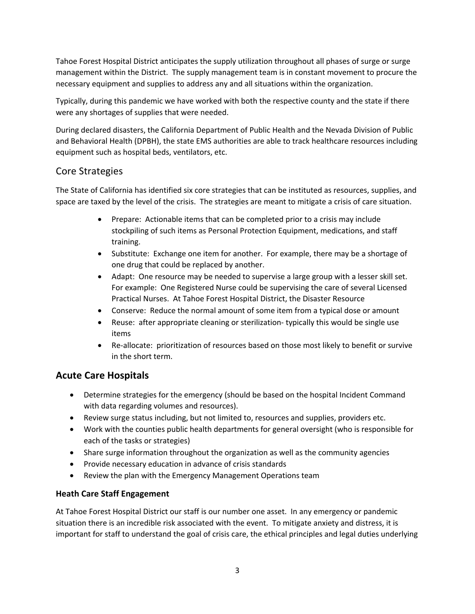Tahoe Forest Hospital District anticipates the supply utilization throughout all phases of surge or surge management within the District. The supply management team is in constant movement to procure the necessary equipment and supplies to address any and all situations within the organization.

Typically, during this pandemic we have worked with both the respective county and the state if there were any shortages of supplies that were needed.

During declared disasters, the California Department of Public Health and the Nevada Division of Public and Behavioral Health (DPBH), the state EMS authorities are able to track healthcare resources including equipment such as hospital beds, ventilators, etc.

# Core Strategies

The State of California has identified six core strategies that can be instituted as resources, supplies, and space are taxed by the level of the crisis. The strategies are meant to mitigate a crisis of care situation.

- Prepare: Actionable items that can be completed prior to a crisis may include stockpiling of such items as Personal Protection Equipment, medications, and staff training.
- Substitute: Exchange one item for another. For example, there may be a shortage of one drug that could be replaced by another.
- Adapt: One resource may be needed to supervise a large group with a lesser skill set. For example: One Registered Nurse could be supervising the care of several Licensed Practical Nurses. At Tahoe Forest Hospital District, the Disaster Resource
- Conserve: Reduce the normal amount of some item from a typical dose or amount
- Reuse: after appropriate cleaning or sterilization- typically this would be single use items
- Re-allocate: prioritization of resources based on those most likely to benefit or survive in the short term.

# **Acute Care Hospitals**

- Determine strategies for the emergency (should be based on the hospital Incident Command with data regarding volumes and resources).
- Review surge status including, but not limited to, resources and supplies, providers etc.
- Work with the counties public health departments for general oversight (who is responsible for each of the tasks or strategies)
- Share surge information throughout the organization as well as the community agencies
- Provide necessary education in advance of crisis standards
- Review the plan with the Emergency Management Operations team

## **Heath Care Staff Engagement**

At Tahoe Forest Hospital District our staff is our number one asset. In any emergency or pandemic situation there is an incredible risk associated with the event. To mitigate anxiety and distress, it is important for staff to understand the goal of crisis care, the ethical principles and legal duties underlying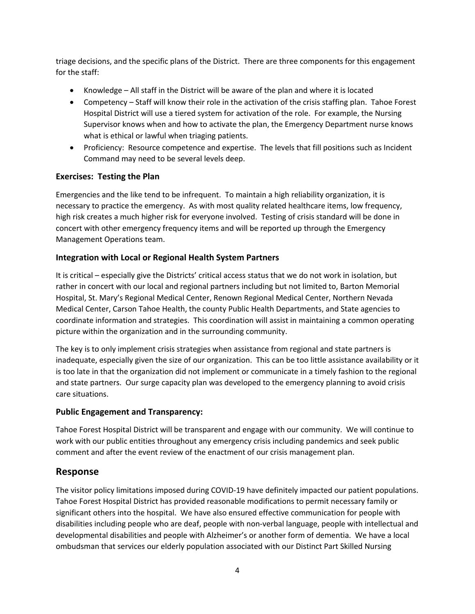triage decisions, and the specific plans of the District. There are three components for this engagement for the staff:

- Knowledge All staff in the District will be aware of the plan and where it is located
- Competency Staff will know their role in the activation of the crisis staffing plan. Tahoe Forest Hospital District will use a tiered system for activation of the role. For example, the Nursing Supervisor knows when and how to activate the plan, the Emergency Department nurse knows what is ethical or lawful when triaging patients.
- Proficiency: Resource competence and expertise. The levels that fill positions such as Incident Command may need to be several levels deep.

#### **Exercises: Testing the Plan**

Emergencies and the like tend to be infrequent. To maintain a high reliability organization, it is necessary to practice the emergency. As with most quality related healthcare items, low frequency, high risk creates a much higher risk for everyone involved. Testing of crisis standard will be done in concert with other emergency frequency items and will be reported up through the Emergency Management Operations team.

## **Integration with Local or Regional Health System Partners**

It is critical – especially give the Districts' critical access status that we do not work in isolation, but rather in concert with our local and regional partners including but not limited to, Barton Memorial Hospital, St. Mary's Regional Medical Center, Renown Regional Medical Center, Northern Nevada Medical Center, Carson Tahoe Health, the county Public Health Departments, and State agencies to coordinate information and strategies. This coordination will assist in maintaining a common operating picture within the organization and in the surrounding community.

The key is to only implement crisis strategies when assistance from regional and state partners is inadequate, especially given the size of our organization. This can be too little assistance availability or it is too late in that the organization did not implement or communicate in a timely fashion to the regional and state partners. Our surge capacity plan was developed to the emergency planning to avoid crisis care situations.

#### **Public Engagement and Transparency:**

Tahoe Forest Hospital District will be transparent and engage with our community. We will continue to work with our public entities throughout any emergency crisis including pandemics and seek public comment and after the event review of the enactment of our crisis management plan.

## **Response**

The visitor policy limitations imposed during COVID-19 have definitely impacted our patient populations. Tahoe Forest Hospital District has provided reasonable modifications to permit necessary family or significant others into the hospital. We have also ensured effective communication for people with disabilities including people who are deaf, people with non-verbal language, people with intellectual and developmental disabilities and people with Alzheimer's or another form of dementia. We have a local ombudsman that services our elderly population associated with our Distinct Part Skilled Nursing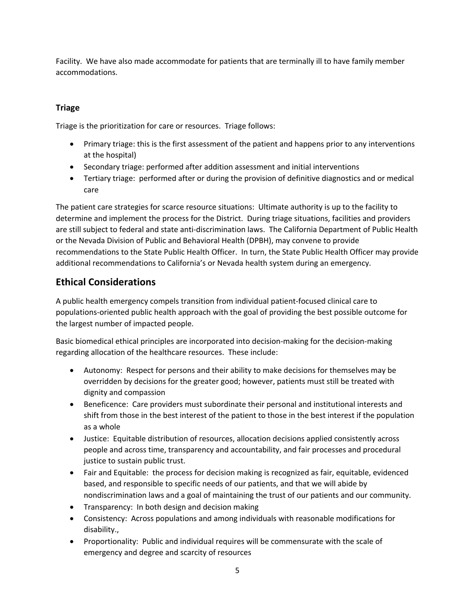Facility. We have also made accommodate for patients that are terminally ill to have family member accommodations.

## **Triage**

Triage is the prioritization for care or resources. Triage follows:

- Primary triage: this is the first assessment of the patient and happens prior to any interventions at the hospital)
- Secondary triage: performed after addition assessment and initial interventions
- Tertiary triage: performed after or during the provision of definitive diagnostics and or medical care

The patient care strategies for scarce resource situations: Ultimate authority is up to the facility to determine and implement the process for the District. During triage situations, facilities and providers are still subject to federal and state anti-discrimination laws. The California Department of Public Health or the Nevada Division of Public and Behavioral Health (DPBH), may convene to provide recommendations to the State Public Health Officer. In turn, the State Public Health Officer may provide additional recommendations to California's or Nevada health system during an emergency.

# **Ethical Considerations**

A public health emergency compels transition from individual patient-focused clinical care to populations-oriented public health approach with the goal of providing the best possible outcome for the largest number of impacted people.

Basic biomedical ethical principles are incorporated into decision-making for the decision-making regarding allocation of the healthcare resources. These include:

- Autonomy: Respect for persons and their ability to make decisions for themselves may be overridden by decisions for the greater good; however, patients must still be treated with dignity and compassion
- Beneficence: Care providers must subordinate their personal and institutional interests and shift from those in the best interest of the patient to those in the best interest if the population as a whole
- Justice: Equitable distribution of resources, allocation decisions applied consistently across people and across time, transparency and accountability, and fair processes and procedural justice to sustain public trust.
- Fair and Equitable: the process for decision making is recognized as fair, equitable, evidenced based, and responsible to specific needs of our patients, and that we will abide by nondiscrimination laws and a goal of maintaining the trust of our patients and our community.
- Transparency: In both design and decision making
- Consistency: Across populations and among individuals with reasonable modifications for disability.,
- Proportionality: Public and individual requires will be commensurate with the scale of emergency and degree and scarcity of resources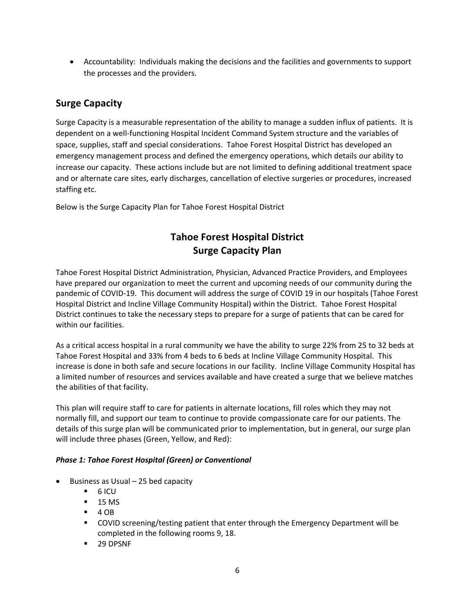• Accountability: Individuals making the decisions and the facilities and governments to support the processes and the providers.

# **Surge Capacity**

Surge Capacity is a measurable representation of the ability to manage a sudden influx of patients. It is dependent on a well-functioning Hospital Incident Command System structure and the variables of space, supplies, staff and special considerations. Tahoe Forest Hospital District has developed an emergency management process and defined the emergency operations, which details our ability to increase our capacity. These actions include but are not limited to defining additional treatment space and or alternate care sites, early discharges, cancellation of elective surgeries or procedures, increased staffing etc.

Below is the Surge Capacity Plan for Tahoe Forest Hospital District

# **Tahoe Forest Hospital District Surge Capacity Plan**

Tahoe Forest Hospital District Administration, Physician, Advanced Practice Providers, and Employees have prepared our organization to meet the current and upcoming needs of our community during the pandemic of COVID-19. This document will address the surge of COVID 19 in our hospitals (Tahoe Forest Hospital District and Incline Village Community Hospital) within the District. Tahoe Forest Hospital District continues to take the necessary steps to prepare for a surge of patients that can be cared for within our facilities.

As a critical access hospital in a rural community we have the ability to surge 22% from 25 to 32 beds at Tahoe Forest Hospital and 33% from 4 beds to 6 beds at Incline Village Community Hospital. This increase is done in both safe and secure locations in our facility. Incline Village Community Hospital has a limited number of resources and services available and have created a surge that we believe matches the abilities of that facility.

This plan will require staff to care for patients in alternate locations, fill roles which they may not normally fill, and support our team to continue to provide compassionate care for our patients. The details of this surge plan will be communicated prior to implementation, but in general, our surge plan will include three phases (Green, Yellow, and Red):

#### *Phase 1: Tahoe Forest Hospital (Green) or Conventional*

- Business as Usual 25 bed capacity
	- $-6$  ICU
	- 15 MS
	- $-4$  OB
	- COVID screening/testing patient that enter through the Emergency Department will be completed in the following rooms 9, 18.
	- 29 DPSNF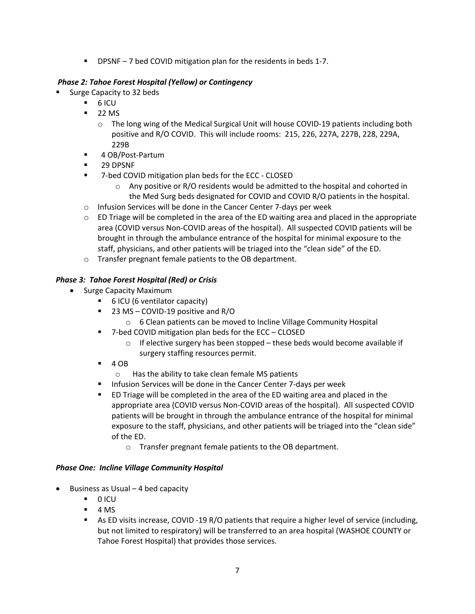**•** DPSNF – 7 bed COVID mitigation plan for the residents in beds 1-7.

## *Phase 2: Tahoe Forest Hospital (Yellow) or Contingency*

- § Surge Capacity to 32 beds
	- $-6$  ICU
	- $\blacksquare$  22 MS
		- o The long wing of the Medical Surgical Unit will house COVID-19 patients including both positive and R/O COVID. This will include rooms: 215, 226, 227A, 227B, 228, 229A, 229B
	- 4 OB/Post-Partum
	- 29 DPSNF
	- 7-bed COVID mitigation plan beds for the ECC CLOSED
		- $\circ$  Any positive or R/O residents would be admitted to the hospital and cohorted in the Med Surg beds designated for COVID and COVID R/O patients in the hospital.
	- o Infusion Services will be done in the Cancer Center 7-days per week
	- $\circ$  ED Triage will be completed in the area of the ED waiting area and placed in the appropriate area (COVID versus Non-COVID areas of the hospital). All suspected COVID patients will be brought in through the ambulance entrance of the hospital for minimal exposure to the staff, physicians, and other patients will be triaged into the "clean side" of the ED.
	- o Transfer pregnant female patients to the OB department.

## *Phase 3: Tahoe Forest Hospital (Red) or Crisis*

- Surge Capacity Maximum
	- § 6 ICU (6 ventilator capacity)
	- § 23 MS COVID-19 positive and R/O
		- o 6 Clean patients can be moved to Incline Village Community Hospital
	- 7-bed COVID mitigation plan beds for the ECC CLOSED
		- o If elective surgery has been stopped these beds would become available if surgery staffing resources permit.
	- $-4OB$ 
		- o Has the ability to take clean female MS patients
	- Infusion Services will be done in the Cancer Center 7-days per week
	- § ED Triage will be completed in the area of the ED waiting area and placed in the appropriate area (COVID versus Non-COVID areas of the hospital). All suspected COVID patients will be brought in through the ambulance entrance of the hospital for minimal exposure to the staff, physicians, and other patients will be triaged into the "clean side" of the ED.
		- o Transfer pregnant female patients to the OB department.

#### *Phase One: Incline Village Community Hospital*

- Business as Usual  $-$  4 bed capacity
	- § 0 ICU
	- $-4$  MS
	- As ED visits increase, COVID -19 R/O patients that require a higher level of service (including, but not limited to respiratory) will be transferred to an area hospital (WASHOE COUNTY or Tahoe Forest Hospital) that provides those services.